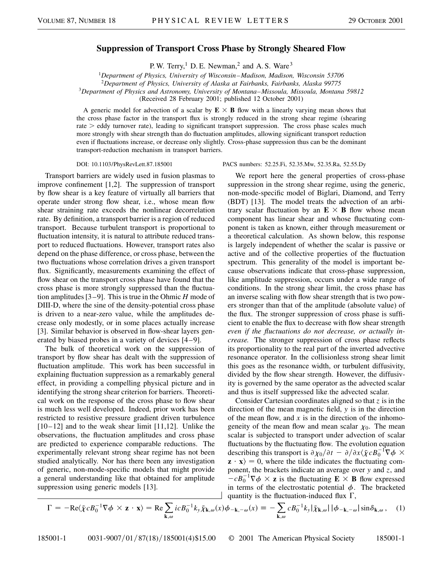## **Suppression of Transport Cross Phase by Strongly Sheared Flow**

P. W. Terry,<sup>1</sup> D. E. Newman,<sup>2</sup> and A. S. Ware<sup>3</sup>

<sup>1</sup>*Department of Physics, University of Wisconsin–Madison, Madison, Wisconsin 53706*

<sup>2</sup>*Department of Physics, University of Alaska at Fairbanks, Fairbanks, Alaska 99775*

<sup>3</sup>*Department of Physics and Astronomy, University of Montana–Missoula, Missoula, Montana 59812*

(Received 28 February 2001; published 12 October 2001)

A generic model for advection of a scalar by  $E \times B$  flow with a linearly varying mean shows that the cross phase factor in the transport flux is strongly reduced in the strong shear regime (shearing rate  $>$  eddy turnover rate), leading to significant transport suppression. The cross phase scales much more strongly with shear strength than do fluctuation amplitudes, allowing significant transport reduction even if fluctuations increase, or decrease only slightly. Cross-phase suppression thus can be the dominant transport-reduction mechanism in transport barriers.

Transport barriers are widely used in fusion plasmas to improve confinement [1,2]. The suppression of transport by flow shear is a key feature of virtually all barriers that operate under strong flow shear, i.e., whose mean flow shear straining rate exceeds the nonlinear decorrelation rate. By definition, a transport barrier is a region of reduced transport. Because turbulent transport is proportional to fluctuation intensity, it is natural to attribute reduced transport to reduced fluctuations. However, transport rates also depend on the phase difference, or cross phase, between the two fluctuations whose correlation drives a given transport flux. Significantly, measurements examining the effect of flow shear on the transport cross phase have found that the cross phase is more strongly suppressed than the fluctuation amplitudes [3–9]. This is true in the Ohmic *H* mode of DIII-D, where the sine of the density-potential cross phase is driven to a near-zero value, while the amplitudes decrease only modestly, or in some places actually increase [3]. Similar behavior is observed in flow-shear layers generated by biased probes in a variety of devices [4–9].

The bulk of theoretical work on the suppression of transport by flow shear has dealt with the suppression of fluctuation amplitude. This work has been successful in explaining fluctuation suppression as a remarkably general effect, in providing a compelling physical picture and in identifying the strong shear criterion for barriers. Theoretical work on the response of the cross phase to flow shear is much less well developed. Indeed, prior work has been restricted to resistive pressure gradient driven turbulence  $[10-12]$  and to the weak shear limit  $[11,12]$ . Unlike the observations, the fluctuation amplitudes and cross phase are predicted to experience comparable reductions. The experimentally relevant strong shear regime has not been studied analytically. Nor has there been any investigation of generic, non-mode-specific models that might provide a general understanding like that obtained for amplitude suppression using generic models [13].

## DOI: 10.1103/PhysRevLett.87.185001 PACS numbers: 52.25.Fi, 52.35.Mw, 52.35.Ra, 52.55.Dy

We report here the general properties of cross-phase suppression in the strong shear regime, using the generic, non-mode-specific model of Biglari, Diamond, and Terry (BDT) [13]. The model treats the advection of an arbitrary scalar fluctuation by an  $E \times B$  flow whose mean component has linear shear and whose fluctuating component is taken as known, either through measurement or a theoretical calculation. As shown below, this response is largely independent of whether the scalar is passive or active and of the collective properties of the fluctuation spectrum. This generality of the model is important because observations indicate that cross-phase suppression, like amplitude suppression, occurs under a wide range of conditions. In the strong shear limit, the cross phase has an inverse scaling with flow shear strength that is two powers stronger than that of the amplitude (absolute value) of the flux. The stronger suppression of cross phase is sufficient to enable the flux to decrease with flow shear strength *even if the fluctuations do not decrease, or actually increase.* The stronger suppression of cross phase reflects its proportionality to the real part of the inverted advective resonance operator. In the collisionless strong shear limit this goes as the resonance width, or turbulent diffusivity, divided by the flow shear strength. However, the diffusivity is governed by the same operator as the advected scalar and thus is itself suppressed like the advected scalar.

Consider Cartesian coordinates aligned so that *z* is in the direction of the mean magnetic field, *y* is in the direction of the mean flow, and *x* is in the direction of the inhomogeneity of the mean flow and mean scalar  $\chi_0$ . The mean scalar is subjected to transport under advection of scalar fluctuations by the fluctuating flow. The evolution equation describing this transport is  $\partial \chi_0 / \partial t - \partial / \partial x \langle \tilde{\chi} c B_0^{-1} \nabla \phi \times$  $\mathbf{z} \cdot \mathbf{x}$  = 0, where the tilde indicates the fluctuating component, the brackets indicate an average over *y* and *z*, and  $-cB_0^{-1}\nabla\phi \times \mathbf{z}$  is the fluctuating  $\mathbf{E} \times \mathbf{B}$  flow expressed in terms of the electrostatic potential  $\phi$ . The bracketed quantity is the fluctuation-induced flux  $\Gamma$ ,

$$
\Gamma = -\text{Re}\langle \tilde{\chi} c B_0^{-1} \nabla \phi \times \mathbf{z} \cdot \mathbf{x} \rangle = \text{Re} \sum_{\mathbf{k},\omega} i c B_0^{-1} k_y \tilde{\chi}_{\mathbf{k},\omega}(x) \phi_{-\mathbf{k},-\omega}(x) \equiv -\sum_{\mathbf{k},\omega} c B_0^{-1} k_y |\tilde{\chi}_{\mathbf{k},\omega}| |\phi_{-\mathbf{k},-\omega}| \sin \delta_{\mathbf{k},\omega}, \quad (1)
$$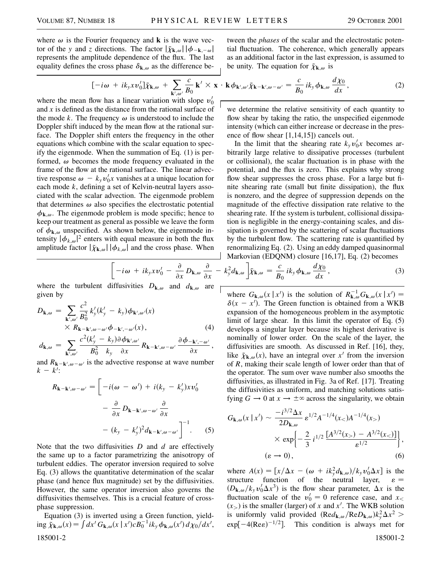where  $\omega$  is the Fourier frequency and **k** is the wave vector of the *y* and *z* directions. The factor  $|\tilde{\chi}_{\mathbf{k},\omega}| |\phi_{-\mathbf{k},-\omega}|$ represents the amplitude dependence of the flux. The last equality defines the cross phase  $\delta_{\mathbf{k},\omega}$  as the difference be-

$$
[-i\omega + ik_{y}x\nu_{0}']\tilde{\chi}_{\mathbf{k},\omega} + \sum_{\mathbf{k}',\omega'}\frac{c}{B_{0}}\mathbf{k}' \times \mathbf{x} \cdot \mathbf{k} \phi_{\mathbf{k}',\omega'}\tilde{\chi}_{\mathbf{k}-\mathbf{k}',\omega-\omega'} = \frac{c}{B_{0}}ik_{y}\phi_{\mathbf{k},\omega}\frac{d\chi_{0}}{dx},
$$
\n(2)

be unity. The equation for  $\tilde{\chi}_{\mathbf{k},\omega}$  is

where the mean flow has a linear variation with slope  $v'_0$ and *x* is defined as the distance from the rational surface of the mode *k*. The frequency  $\omega$  is understood to include the Doppler shift induced by the mean flow at the rational surface. The Doppler shift enters the frequency in the other equations which combine with the scalar equation to specify the eigenmode. When the summation of Eq. (1) is performed,  $\omega$  becomes the mode frequency evaluated in the frame of the flow at the rational surface. The linear advective response  $\omega - k_y v_0' x$  vanishes at a unique location for each mode *k*, defining a set of Kelvin-neutral layers associated with the scalar advection. The eigenmode problem that determines  $\omega$  also specifies the electrostatic potential  $\phi_{\mathbf{k},\omega}$ . The eigenmode problem is mode specific; hence to keep our treatment as general as possible we leave the form of  $\phi_{\mathbf{k},\omega}$  unspecified. As shown below, the eigenmode intensity  $|\phi_{k,\omega}|^2$  enters with equal measure in both the flux amplitude factor  $|\tilde{\chi}_{\mathbf{k},\omega}| |\phi_{k,\omega}|$  and the cross phase. When

$$
\mathbf{Markovian (EDQNM) closure [16,17], Eq. (2) becomes}
$$

$$
\left[ -i\omega + ik_{y}xv_{0}' - \frac{\partial}{\partial x}D_{\mathbf{k},\omega}\frac{\partial}{\partial x} - k_{y}^{2}d_{\mathbf{k},\omega} \right] \tilde{\chi}_{\mathbf{k},\omega} = \frac{c}{B_{0}}ik_{y}\phi_{\mathbf{k},\omega}\frac{d\chi_{0}}{dx},
$$
(3)

where the turbulent diffusivities  $D_{\mathbf{k},\omega}$  and  $d_{\mathbf{k},\omega}$  are  $\vdash$ given by

$$
D_{\mathbf{k},\omega} = \sum_{\mathbf{k}',\omega'} \frac{c^2}{B_0^2} k'_y (k'_y - k_y) \phi_{\mathbf{k}',\omega'}(x)
$$
  
 
$$
\times R_{\mathbf{k} - \mathbf{k}',\omega - \omega'} \phi_{-\mathbf{k}',-\omega'}(x),
$$
 (4)

$$
d_{\mathbf{k},\omega} = \sum_{\mathbf{k}',\omega'} \frac{c^2(k'_y - k_y) \partial \phi_{\mathbf{k}',\omega'}}{B_0^2 \ k_y \ \partial x} R_{\mathbf{k} - \mathbf{k}',\omega - \omega'} \frac{\partial \phi_{-\mathbf{k}',-\omega'}}{\partial x},
$$

and  $R_{\mathbf{k}-\mathbf{k}',\omega-\omega'}$  is the advective response at wave number  $k - k$ <sup>'</sup>: ∑

$$
R_{\mathbf{k}-\mathbf{k}',\omega-\omega'} = \left[ -i(\omega - \omega') + i(k_y - k'_y)x v'_0 \right. - \frac{\partial}{\partial x} D_{\mathbf{k}-\mathbf{k}',\omega-\omega'} \frac{\partial}{\partial x} - (k_y - k'_y)^2 d_{\mathbf{k}-\mathbf{k}',\omega-\omega'} \right]^{-1} . \tag{5}
$$

Note that the two diffusivities *D* and *d* are effectively the same up to a factor parametrizing the anisotropy of turbulent eddies. The operator inversion required to solve Eq. (3) allows the quantitative determination of the scalar phase (and hence flux magnitude) set by the diffusivities. However, the same operator inversion also governs the diffusivities themselves. This is a crucial feature of crossphase suppression.

Equation (3) is inverted using a Green function, yield- $\lim_{\Delta x \to 0} \tilde{\chi}_{\mathbf{k},\omega}(x) = \int dx' G_{\mathbf{k},\omega}(x | x') c B_0^{-1} i k_y \phi_{\mathbf{k},\omega}(x') d x'$ 185001-2 185001-2

we determine the relative sensitivity of each quantity to flow shear by taking the ratio, the unspecified eigenmode intensity (which can either increase or decrease in the presence of flow shear [1,14,15]) cancels out.

tween the *phases* of the scalar and the electrostatic potential fluctuation. The coherence, which generally appears as an additional factor in the last expression, is assumed to

In the limit that the shearing rate  $k_yv_0'x$  becomes arbitrarily large relative to dissipative processes (turbulent or collisional), the scalar fluctuation is in phase with the potential, and the flux is zero. This explains why strong flow shear suppresses the cross phase. For a large but finite shearing rate (small but finite dissipation), the flux is nonzero, and the degree of suppression depends on the magnitude of the effective dissipation rate relative to the shearing rate. If the system is turbulent, collisional dissipation is negligible in the energy-containing scales, and dissipation is governed by the scattering of scalar fluctuations by the turbulent flow. The scattering rate is quantified by renormalizing Eq. (2). Using an eddy damped quasinormal

where 
$$
G_{\mathbf{k},\omega}(x | x')
$$
 is the solution of  $R_{\mathbf{k},\omega}^{-1}G_{\mathbf{k},\omega}(x | x') = \delta(x - x')$ . The Green function is obtained from a WKB expansion of the homogeneous problem in the asymptotic limit of large shear. In this limit the operator of Eq. (5) develops a singular layer because its highest derivative is nominally of lower order. On the scale of the layer, the diffusivities are smooth. As discussed in Ref. [16], they, like  $\tilde{\chi}_{\mathbf{k},\omega}(x)$ , have an integral over  $x'$  from the inversion of *R*, making their scale length of lower order than that of the operator. The sum over wave number also smooths the diffusivities, as illustrated in Fig. 3a of Ref. [17]. Treating the diffusivities as uniform, and matching solutions satisfying  $G \to 0$  at  $x \to \pm \infty$  across the singularity, we obtain

$$
G_{\mathbf{k},\omega}(x \mid x') \sim \frac{-i^{3/2} \Delta x}{2D_{\mathbf{k},\omega}} \varepsilon^{1/2} A^{-1/4}(x0) A^{-1/4}(x>)
$$

$$
\times \exp \left\{ -\frac{2}{3} i^{1/2} \frac{[A^{3/2}(x_{>}) - A^{3/2}(x_{<})]}{\varepsilon^{1/2}} \right\},\,
$$

$$
(\varepsilon \to 0),\tag{6}
$$

where  $A(x) = \left[x/\Delta x - (\omega + ik_y^2 d_{\mathbf{k},\omega})/k_y v'_0 \Delta x\right]$  is the structure function of the neutral layer,  $\varepsilon =$  $(D_{\mathbf{k},\omega}/k_yv'_0\Delta x^3)$  is the flow shear parameter,  $\Delta x$  is the fluctuation scale of the  $v'_0 = 0$  reference case, and  $x_0$  $(x)$  is the smaller (larger) of *x* and *x*<sup> $\prime$ </sup>. The WKB solution is uniformly valid provided  $(\text{Re}d_{\mathbf{k},\omega}/\text{Re}D_{\mathbf{k},\omega})k_y^2\Delta x^2$  $exp[-4(Re\varepsilon)^{-1/2}]$ . This condition is always met for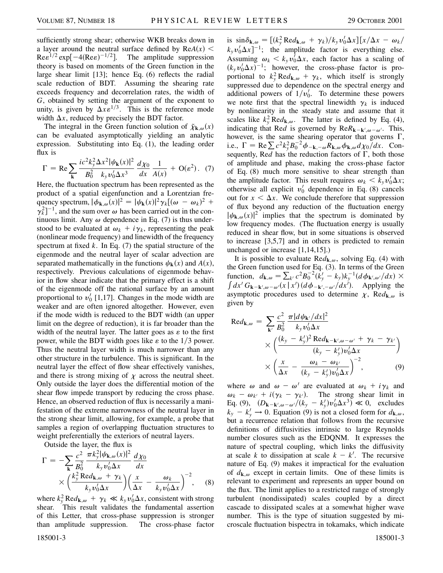sufficiently strong shear; otherwise WKB breaks down in a layer around the neutral surface defined by  $ReA(x)$  <  $\text{Re}\epsilon^{1/2} \exp[-4(\text{Re}\epsilon)^{-1/2}]$ . The amplitude suppression theory is based on moments of the Green function in the large shear limit [13]; hence Eq. (6) reflects the radial scale reduction of BDT. Assuming the shearing rate exceeds frequency and decorrelation rates, the width of *G*, obtained by setting the argument of the exponent to unity, is given by  $\Delta x \epsilon^{1/3}$ . This is the reference mode width  $\Delta x$ , reduced by precisely the BDT factor.

The integral in the Green function solution of  $\tilde{\chi}_{\mathbf{k},\omega}(x)$ can be evaluated asymptotically yielding an analytic expression. Substituting into Eq. (1), the leading order flux is

$$
\Gamma = \text{Re} \sum_{\mathbf{k}} \frac{ic^2 k_y^2 \Delta x^2 |\psi_{\mathbf{k}}(x)|^2}{B_0^2 k_y v_0' \Delta x^3} \frac{d\chi_0}{dx} \frac{1}{A(x)} + \text{O}(\varepsilon^2). \tag{7}
$$

Here, the fluctuation spectrum has been represented as the product of a spatial eigenfunction and a Lorentzian frequency spectrum,  $|\phi_{\mathbf{k},\omega}(x)|^2 = |\psi_{\mathbf{k}}(x)|^2 \gamma_k [(\omega - \omega_k)^2 +$  $\gamma_k^2$ ]<sup>-1</sup>, and the sum over  $\omega$  has been carried out in the continuous limit. Any  $\omega$  dependence in Eq. (7) is thus understood to be evaluated at  $\omega_k + i\gamma_k$ , representing the peak (nonlinear mode frequency) and linewidth of the frequency spectrum at fixed *k*. In Eq. (7) the spatial structure of the eigenmode and the neutral layer of scalar advection are separated mathematically in the functions  $\psi_{\bf k}(x)$  and  $A(x)$ , respectively. Previous calculations of eigenmode behavior in flow shear indicate that the primary effect is a shift of the eigenmode off the rational surface by an amount proportional to  $v'_0$  [1,17]. Changes in the mode width are weaker and are often ignored altogether. However, even if the mode width is reduced to the BDT width (an upper limit on the degree of reduction), it is far broader than the width of the neutral layer. The latter goes as  $\varepsilon$  to the first power, while the BDT width goes like  $\varepsilon$  to the 1/3 power. Thus the neutral layer width is much narrower than any other structure in the turbulence. This is significant. In the neutral layer the effect of flow shear effectively vanishes, and there is strong mixing of  $\chi$  across the neutral sheet. Only outside the layer does the differential motion of the shear flow impede transport by reducing the cross phase. Hence, an observed reduction of flux is necessarily a manifestation of the extreme narrowness of the neutral layer in the strong shear limit, allowing, for example, a probe that samples a region of overlapping fluctuation structures to weight preferentially the exteriors of neutral layers.

Outside the layer, the flux is

$$
\Gamma = -\sum_{\mathbf{k}} \frac{c^2}{B_0^2} \frac{\pi k_y^2 |\psi_{\mathbf{k},\omega}(x)|^2}{k_y v_0' \Delta x} \frac{d\chi_0}{dx} \times \left(\frac{k_y^2 \text{Re} d_{\mathbf{k},\omega} + \gamma_k}{k_y v_0' \Delta x}\right) \left(\frac{x}{\Delta x} - \frac{\omega_k}{k_y v_0' \Delta x}\right)^{-2}, \quad (8)
$$

where  $k_y^2 \text{Re} d_{\mathbf{k},\omega} + \gamma_k \ll k_y v_0 \Delta x$ , consistent with strong shear. This result validates the fundamental assertion of this Letter, that cross-phase suppression is stronger than amplitude suppression. The cross-phase factor

is  $\sin\delta_{\mathbf{k},\omega} = \left[ (k_y^2 \text{Re} d_{\mathbf{k},\omega} + \gamma_k)/k_y v_0' \Delta x \right] \left[ x/\Delta x - \omega_k / \right]$  $k_y v_0' \Delta x$ <sup>-1</sup>; the amplitude factor is everything else. Assuming  $\omega_k < k_y v_0^{\dagger} \Delta x$ , each factor has a scaling of  $(k_yv_0'\Delta x)^{-1}$ ; however, the cross-phase factor is proportional to  $k_y^2 \text{Re} d_{\mathbf{k},\omega} + \gamma_k$ , which itself is strongly suppressed due to dependence on the spectral energy and additional powers of  $1/v'_0$ . To determine these powers we note first that the spectral linewidth  $\gamma_k$  is induced by nonlinearity in the steady state and assume that it scales like  $k_y^2 \text{Re} d_{\mathbf{k},\omega}$ . The latter is defined by Eq. (4), indicating that Red is governed by  $\text{Re}R_{\mathbf{k}-\mathbf{k}',\omega-\omega'}$ . This, however, is the same shearing operator that governs  $\Gamma$ , i.e.,  $\Gamma = \text{Re} \sum c^2 k_y^2 B_0^{-2} \phi_{-\mathbf{k},-\omega} R_{\mathbf{k},\omega} \phi_{\mathbf{k},\omega} d\chi_0/dx$ . Consequently, Red has the reduction factors of  $\Gamma$ , both those of amplitude and phase, making the cross-phase factor of Eq. (8) much more sensitive to shear strength than the amplitude factor. This result requires  $\omega_k < k_y v'_0 \Delta x$ ; otherwise all explicit  $v'_0$  dependence in Eq. (8) cancels out for  $x < \Delta x$ . We conclude therefore that suppression of flux beyond any reduction of the fluctuation energy  $|\psi_{\mathbf{k},\omega}(x)|^2$  implies that the spectrum is dominated by low frequency modes. (The fluctuation energy is usually reduced in shear flow, but in some situations is observed to increase [3,5,7] and in others is predicted to remain unchanged or increase [1,14,15].)

It is possible to evaluate  $\text{Red}_{\mathbf{k},\omega}$ , solving Eq. (4) with the Green function used for Eq. (3). In terms of the Green function,  $d_{\mathbf{k},\omega} = \sum_{k'} c^2 B_0^{-2} (k'_y - k_y) k_y^{-1} (d \phi_{\mathbf{k}',\omega'}/dx) \times$  $dx^{i} G_{\mathbf{k}-\mathbf{k}',\omega-\omega'}(x | x^{i}) (d\phi_{-\mathbf{k}',-\omega'}/dx^{i})$ . Applying the asymptotic procedures used to determine  $\chi$ , Re $d_{\mathbf{k},\omega}$  is given by

$$
\text{Re}d_{\mathbf{k},\omega} = \sum_{\mathbf{k}'} \frac{c^2}{B_0^2} \frac{\pi |d\psi_{\mathbf{k}'}/dx|^2}{k_y v_0' \Delta x} \times \left( \frac{(k_y - k_y')^2 \text{Re}d_{\mathbf{k} - \mathbf{k}',\omega - \omega'} + \gamma_k - \gamma_{k'}}{(k_y - k_y')v_0' \Delta x} \right) \times \left( \frac{x}{\Delta x} - \frac{\omega_k - \omega_{k'}}{(k_y - k_y')v_0' \Delta x} \right)^{-2}, \tag{9}
$$

where  $\omega$  and  $\omega - \omega'$  are evaluated at  $\omega_k + i\gamma_k$  and  $\omega_k - \omega_{k'} + i(\gamma_k - \gamma_{k'})$ . The strong shear limit in Eq. (9),  $(D_{\mathbf{k}-\mathbf{k}',\omega-\omega'}/(k_y - k'_y)v'_0 \Delta x^3) \ll 0$ , excludes  $k_y - k'_y \rightarrow 0$ . Equation (9) is not a closed form for  $d_{\mathbf{k},\omega}$ , but a recurrence relation that follows from the recursive definitions of diffusivities intrinsic to large Reynolds number closures such as the EDQNM. It expresses the nature of spectral coupling, which links the diffusivity at scale *k* to dissipation at scale  $k - k'$ . The recursive nature of Eq. (9) makes it impractical for the evaluation of  $d_{\mathbf{k},\omega}$  except in certain limits. One of these limits is relevant to experiment and represents an upper bound on the flux. The limit applies to a restricted range of strongly turbulent (nondissipated) scales coupled by a direct cascade to dissipated scales at a somewhat higher wave number. This is the type of situation suggested by microscale fluctuation bispectra in tokamaks, which indicate